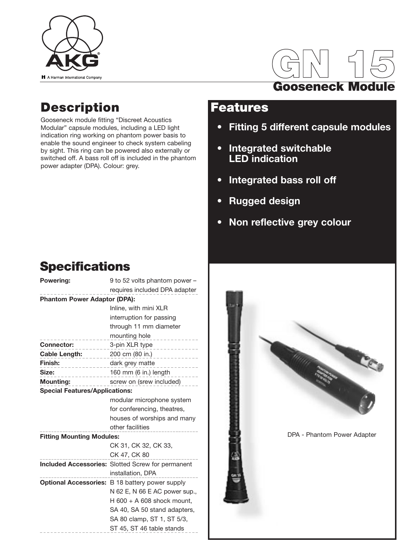

# **GN 15 Gooseneck Module**

### **Description**

Gooseneck module fitting "Discreet Acoustics Modular" capsule modules, including a LED light indication ring working on phantom power basis to enable the sound engineer to check system cabeling by sight. This ring can be powered also externally or switched off. A bass roll off is included in the phantom power adapter (DPA). Colour: grey.

### **Features**

- **Fitting 5 different capsule modules**
- **Integrated switchable LED indication**
- **Integrated bass roll off**
- **Rugged design**
- **Non reflective grey colour**

# **Specifications**

| requires included DPA adapter<br><b>Phantom Power Adaptor (DPA):</b><br>Inline, with mini XLR<br>interruption for passing<br>through 11 mm diameter<br>mounting hole<br><u>.</u><br><b>Connector:</b><br>3-pin XLR type<br>$- - - -$<br>200 cm (80 in.)<br>Cable Length:<br>Finish:<br>dark grey matte<br>.<br>$- - - - - - - -$<br>160 mm (6 in.) length<br>Size:<br>$- - - -$<br><b>Mounting:</b><br>screw on (srew included)<br><b>Special Features/Applications:</b><br>modular microphone system<br>for conferencing, theatres,<br>houses of worships and many<br>other facilities<br><b>Fitting Mounting Modules:</b><br>CK 31, CK 32, CK 33, |
|-----------------------------------------------------------------------------------------------------------------------------------------------------------------------------------------------------------------------------------------------------------------------------------------------------------------------------------------------------------------------------------------------------------------------------------------------------------------------------------------------------------------------------------------------------------------------------------------------------------------------------------------------------|
|                                                                                                                                                                                                                                                                                                                                                                                                                                                                                                                                                                                                                                                     |
|                                                                                                                                                                                                                                                                                                                                                                                                                                                                                                                                                                                                                                                     |
|                                                                                                                                                                                                                                                                                                                                                                                                                                                                                                                                                                                                                                                     |
|                                                                                                                                                                                                                                                                                                                                                                                                                                                                                                                                                                                                                                                     |
|                                                                                                                                                                                                                                                                                                                                                                                                                                                                                                                                                                                                                                                     |
|                                                                                                                                                                                                                                                                                                                                                                                                                                                                                                                                                                                                                                                     |
|                                                                                                                                                                                                                                                                                                                                                                                                                                                                                                                                                                                                                                                     |
|                                                                                                                                                                                                                                                                                                                                                                                                                                                                                                                                                                                                                                                     |
|                                                                                                                                                                                                                                                                                                                                                                                                                                                                                                                                                                                                                                                     |
|                                                                                                                                                                                                                                                                                                                                                                                                                                                                                                                                                                                                                                                     |
|                                                                                                                                                                                                                                                                                                                                                                                                                                                                                                                                                                                                                                                     |
|                                                                                                                                                                                                                                                                                                                                                                                                                                                                                                                                                                                                                                                     |
|                                                                                                                                                                                                                                                                                                                                                                                                                                                                                                                                                                                                                                                     |
|                                                                                                                                                                                                                                                                                                                                                                                                                                                                                                                                                                                                                                                     |
|                                                                                                                                                                                                                                                                                                                                                                                                                                                                                                                                                                                                                                                     |
|                                                                                                                                                                                                                                                                                                                                                                                                                                                                                                                                                                                                                                                     |
|                                                                                                                                                                                                                                                                                                                                                                                                                                                                                                                                                                                                                                                     |
|                                                                                                                                                                                                                                                                                                                                                                                                                                                                                                                                                                                                                                                     |
| CK 47, CK 80                                                                                                                                                                                                                                                                                                                                                                                                                                                                                                                                                                                                                                        |
| Included Accessories: Slotted Screw for permanent                                                                                                                                                                                                                                                                                                                                                                                                                                                                                                                                                                                                   |
| installation, DPA                                                                                                                                                                                                                                                                                                                                                                                                                                                                                                                                                                                                                                   |
| <b>Optional Accessories:</b> B 18 battery power supply                                                                                                                                                                                                                                                                                                                                                                                                                                                                                                                                                                                              |
| N 62 E, N 66 E AC power sup.,                                                                                                                                                                                                                                                                                                                                                                                                                                                                                                                                                                                                                       |
| H $600 + A$ 608 shock mount,                                                                                                                                                                                                                                                                                                                                                                                                                                                                                                                                                                                                                        |
| SA 40, SA 50 stand adapters,                                                                                                                                                                                                                                                                                                                                                                                                                                                                                                                                                                                                                        |
| SA 80 clamp, ST 1, ST 5/3,                                                                                                                                                                                                                                                                                                                                                                                                                                                                                                                                                                                                                          |
| ST 45, ST 46 table stands                                                                                                                                                                                                                                                                                                                                                                                                                                                                                                                                                                                                                           |